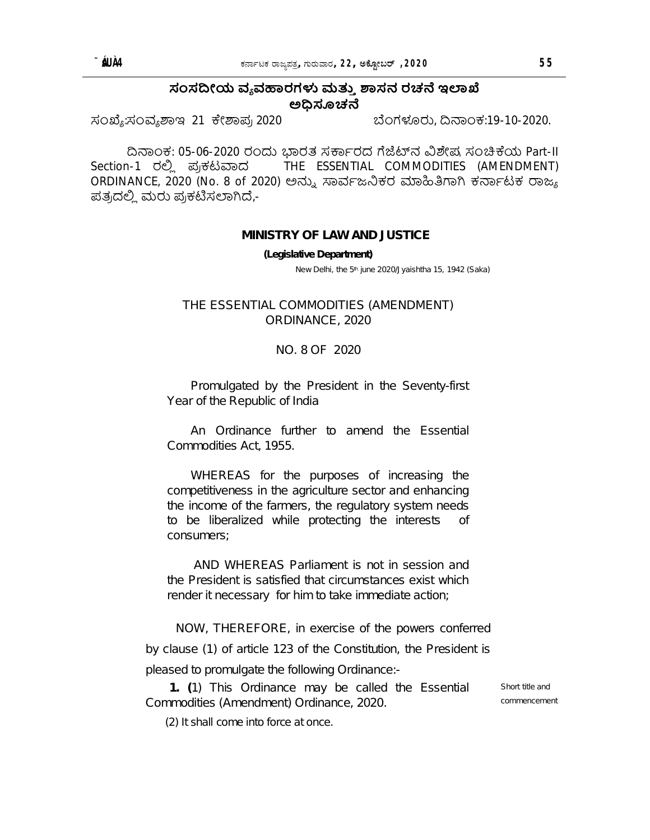## ಸಂಸದೀಯ ವ್ಯವಹಾರಗಳು ಮತ್ತು ಶಾಸನ ರಚನೆ ಇಲಾಖೆ ಅಧಿಸೂಚನೆ

ಸಂಖ್ಯೆ:ಸಂವ್ಯಶಾಇ 21 ಕೇಶಾಪ್ರ 2020

ಬೆಂಗಳೂರು, ದಿನಾಂಕ:19-10-2020.

ದಿನಾಂಕ: 05-06-2020 ರಂದು ಭಾರತ ಸರ್ಕಾರದ ಗೆಜೆಟ್ನ ವಿಶೇಷ ಸಂಚಿಕೆಯ Part-II Section-1 ರಲಿ ಪ್ರಕಟವಾದ THE ESSENTIAL COMMODITIES (AMENDMENT) ORDINANCE, 2020 (No. 8 of 2020) ಅನ್ನು ಸಾರ್ವಜನಿಕರ ಮಾಹಿತಿಗಾಗಿ ಕರ್ನಾಟಕ ರಾಜ್ಯ ಪತ್ರದಲ್ಲಿ ಮರು ಪ್ರಕಟಿಸಲಾಗಿದೆ,-

## **MINISTRY OF LAW AND JUSTICE**

(Legislative Department)

New Delhi, the 5<sup>th</sup> june 2020/Jyaishtha 15, 1942 (Saka)

THE ESSENTIAL COMMODITIES (AMENDMENT) ORDINANCE, 2020

## NO. 8 OF 2020

Promulgated by the President in the Seventy-first Year of the Republic of India

An Ordinance further to amend the Essential Commodities Act. 1955.

WHEREAS for the purposes of increasing the competitiveness in the agriculture sector and enhancing the income of the farmers, the regulatory system needs to be liberalized while protecting the interests Οf consumers:

AND WHEREAS Parliament is not in session and the President is satisfied that circumstances exist which render it necessary for him to take immediate action;

NOW, THEREFORE, in exercise of the powers conferred by clause (1) of article 123 of the Constitution, the President is pleased to promulgate the following Ordinance:-

1. (1) This Ordinance may be called the Essential Commodities (Amendment) Ordinance, 2020.

(2) It shall come into force at once.

Short title and commencement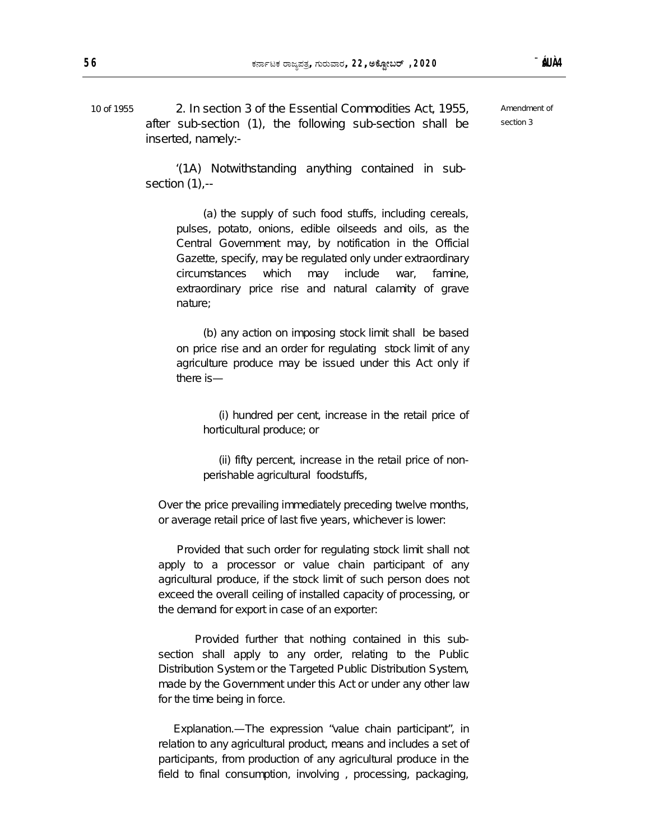10 of 1955 2. In section 3 of the Essential Commodities Act, 1955, after sub-section (1), the following sub-section shall be inserted, namely:-

Amendment of section 3

 '(1A) Notwithstanding anything contained in subsection (1),--

(a) the supply of such food stuffs, including cereals, pulses, potato, onions, edible oilseeds and oils, as the Central Government may, by notification in the Official Gazette, specify, may be regulated only under extraordinary circumstances which may include war, famine, extraordinary price rise and natural calamity of grave nature;

(b) any action on imposing stock limit shall be based on price rise and an order for regulating stock limit of any agriculture produce may be issued under this Act only if there is—

 (i) hundred per cent, increase in the retail price of horticultural produce; or

 (ii) fifty percent, increase in the retail price of nonperishable agricultural foodstuffs,

Over the price prevailing immediately preceding twelve months, or average retail price of last five years, whichever is lower:

 Provided that such order for regulating stock limit shall not apply to a processor or value chain participant of any agricultural produce, if the stock limit of such person does not exceed the overall ceiling of installed capacity of processing, or the demand for export in case of an exporter:

 Provided further that nothing contained in this subsection shall apply to any order, relating to the Public Distribution System or the Targeted Public Distribution System, made by the Government under this Act or under any other law for the time being in force.

 Explanation.—The expression "value chain participant", in relation to any agricultural product, means and includes a set of participants, from production of any agricultural produce in the field to final consumption, involving , processing, packaging,